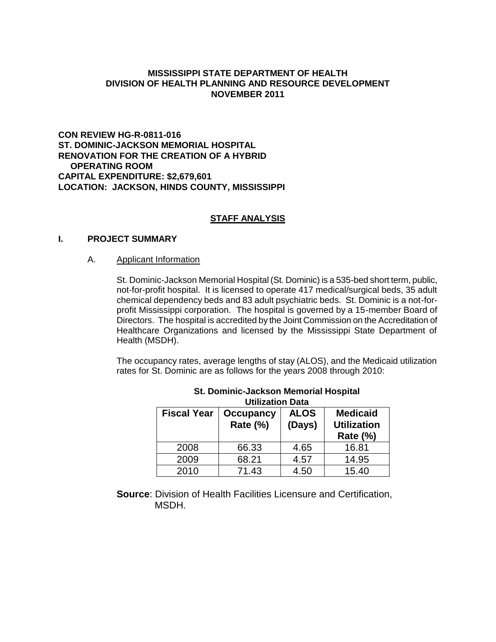## **MISSISSIPPI STATE DEPARTMENT OF HEALTH DIVISION OF HEALTH PLANNING AND RESOURCE DEVELOPMENT NOVEMBER 2011**

**CON REVIEW HG-R-0811-016 ST. DOMINIC-JACKSON MEMORIAL HOSPITAL RENOVATION FOR THE CREATION OF A HYBRID OPERATING ROOM CAPITAL EXPENDITURE: \$2,679,601 LOCATION: JACKSON, HINDS COUNTY, MISSISSIPPI** 

## **STAFF ANALYSIS**

### **I. PROJECT SUMMARY**

### A. Applicant Information

St. Dominic-Jackson Memorial Hospital (St. Dominic) is a 535-bed short term, public, not-for-profit hospital. It is licensed to operate 417 medical/surgical beds, 35 adult chemical dependency beds and 83 adult psychiatric beds. St. Dominic is a not-forprofit Mississippi corporation. The hospital is governed by a 15-member Board of Directors. The hospital is accredited by the Joint Commission on the Accreditation of Healthcare Organizations and licensed by the Mississippi State Department of Health (MSDH).

The occupancy rates, average lengths of stay (ALOS), and the Medicaid utilization rates for St. Dominic are as follows for the years 2008 through 2010:

| UUIKAUUII DALA     |                              |                       |                                                      |
|--------------------|------------------------------|-----------------------|------------------------------------------------------|
| <b>Fiscal Year</b> | <b>Occupancy</b><br>Rate (%) | <b>ALOS</b><br>(Days) | <b>Medicaid</b><br><b>Utilization</b><br>Rate $(\%)$ |
| 2008               | 66.33                        | 4.65                  | 16.81                                                |
| 2009               | 68.21                        | 4.57                  | 14.95                                                |
| 2010               | 71.43                        | 4.50                  | 15.40                                                |

#### **St. Dominic-Jackson Memorial Hospital Utilization Data**

**Source**: Division of Health Facilities Licensure and Certification, MSDH.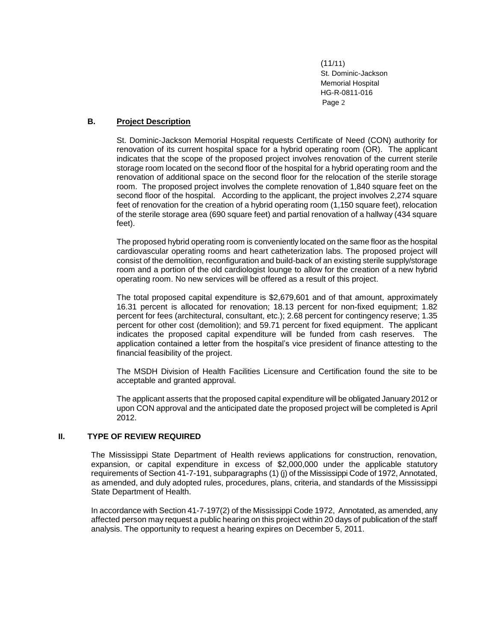### **B. Project Description**

St. Dominic-Jackson Memorial Hospital requests Certificate of Need (CON) authority for renovation of its current hospital space for a hybrid operating room (OR). The applicant indicates that the scope of the proposed project involves renovation of the current sterile storage room located on the second floor of the hospital for a hybrid operating room and the renovation of additional space on the second floor for the relocation of the sterile storage room. The proposed project involves the complete renovation of 1,840 square feet on the second floor of the hospital. According to the applicant, the project involves 2,274 square feet of renovation for the creation of a hybrid operating room (1,150 square feet), relocation of the sterile storage area (690 square feet) and partial renovation of a hallway (434 square feet).

The proposed hybrid operating room is conveniently located on the same floor as the hospital cardiovascular operating rooms and heart catheterization labs. The proposed project will consist of the demolition, reconfiguration and build-back of an existing sterile supply/storage room and a portion of the old cardiologist lounge to allow for the creation of a new hybrid operating room. No new services will be offered as a result of this project.

The total proposed capital expenditure is \$2,679,601 and of that amount, approximately 16.31 percent is allocated for renovation; 18.13 percent for non-fixed equipment; 1.82 percent for fees (architectural, consultant, etc.); 2.68 percent for contingency reserve; 1.35 percent for other cost (demolition); and 59.71 percent for fixed equipment. The applicant indicates the proposed capital expenditure will be funded from cash reserves. The application contained a letter from the hospital's vice president of finance attesting to the financial feasibility of the project.

The MSDH Division of Health Facilities Licensure and Certification found the site to be acceptable and granted approval.

The applicant asserts that the proposed capital expenditure will be obligated January 2012 or upon CON approval and the anticipated date the proposed project will be completed is April 2012.

#### **II. TYPE OF REVIEW REQUIRED**

The Mississippi State Department of Health reviews applications for construction, renovation, expansion, or capital expenditure in excess of \$2,000,000 under the applicable statutory requirements of Section 41-7-191, subparagraphs (1) (j) of the Mississippi Code of 1972, Annotated, as amended, and duly adopted rules, procedures, plans, criteria, and standards of the Mississippi State Department of Health.

In accordance with Section 41-7-197(2) of the Mississippi Code 1972, Annotated, as amended, any affected person may request a public hearing on this project within 20 days of publication of the staff analysis. The opportunity to request a hearing expires on December 5, 2011.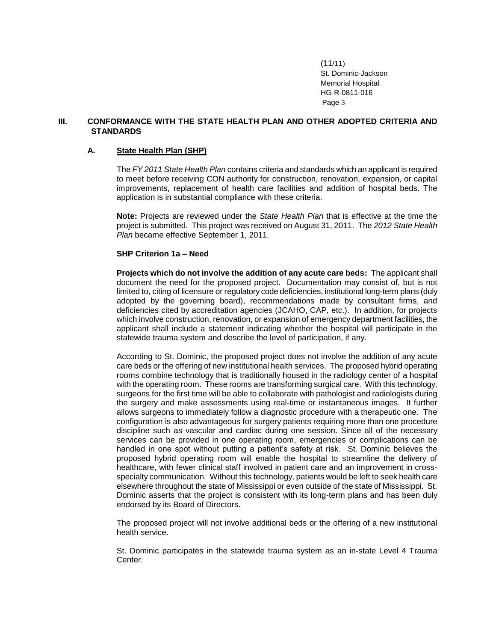#### **III. CONFORMANCE WITH THE STATE HEALTH PLAN AND OTHER ADOPTED CRITERIA AND STANDARDS**

#### **A. State Health Plan (SHP)**

The *FY 2011 State Health Plan* contains criteria and standards which an applicant is required to meet before receiving CON authority for construction, renovation, expansion, or capital improvements, replacement of health care facilities and addition of hospital beds. The application is in substantial compliance with these criteria.

**Note:** Projects are reviewed under the *State Health Plan* that is effective at the time the project is submitted. This project was received on August 31, 2011. The *2012 State Health Plan* became effective September 1, 2011.

### **SHP Criterion 1a – Need**

**Projects which do not involve the addition of any acute care beds:** The applicant shall document the need for the proposed project. Documentation may consist of, but is not limited to, citing of licensure or regulatory code deficiencies, institutional long-term plans (duly adopted by the governing board), recommendations made by consultant firms, and deficiencies cited by accreditation agencies (JCAHO, CAP, etc.). In addition, for projects which involve construction, renovation, or expansion of emergency department facilities, the applicant shall include a statement indicating whether the hospital will participate in the statewide trauma system and describe the level of participation, if any.

According to St. Dominic, the proposed project does not involve the addition of any acute care beds or the offering of new institutional health services. The proposed hybrid operating rooms combine technology that is traditionally housed in the radiology center of a hospital with the operating room. These rooms are transforming surgical care. With this technology, surgeons for the first time will be able to collaborate with pathologist and radiologists during the surgery and make assessments using real-time or instantaneous images. It further allows surgeons to immediately follow a diagnostic procedure with a therapeutic one. The configuration is also advantageous for surgery patients requiring more than one procedure discipline such as vascular and cardiac during one session. Since all of the necessary services can be provided in one operating room, emergencies or complications can be handled in one spot without putting a patient's safety at risk. St. Dominic believes the proposed hybrid operating room will enable the hospital to streamline the delivery of healthcare, with fewer clinical staff involved in patient care and an improvement in crossspecialty communication. Without this technology, patients would be left to seek health care elsewhere throughout the state of Mississippi or even outside of the state of Mississippi. St. Dominic asserts that the project is consistent with its long-term plans and has been duly endorsed by its Board of Directors.

The proposed project will not involve additional beds or the offering of a new institutional health service.

St. Dominic participates in the statewide trauma system as an in-state Level 4 Trauma Center.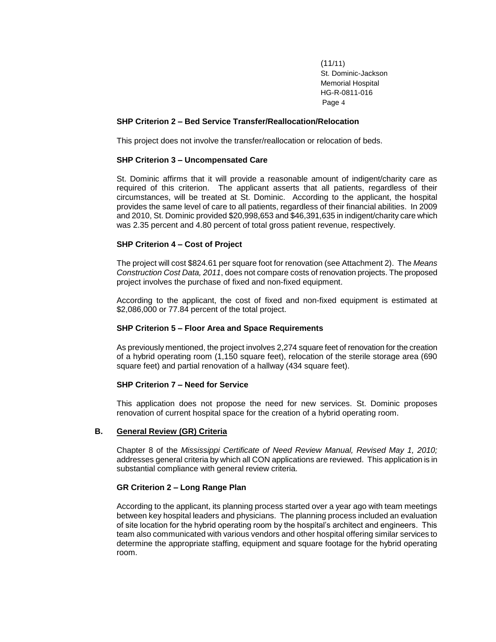#### **SHP Criterion 2 – Bed Service Transfer/Reallocation/Relocation**

This project does not involve the transfer/reallocation or relocation of beds.

#### **SHP Criterion 3 – Uncompensated Care**

St. Dominic affirms that it will provide a reasonable amount of indigent/charity care as required of this criterion. The applicant asserts that all patients, regardless of their circumstances, will be treated at St. Dominic. According to the applicant, the hospital provides the same level of care to all patients, regardless of their financial abilities. In 2009 and 2010, St. Dominic provided \$20,998,653 and \$46,391,635 in indigent/charity care which was 2.35 percent and 4.80 percent of total gross patient revenue, respectively.

#### **SHP Criterion 4 – Cost of Project**

The project will cost \$824.61 per square foot for renovation (see Attachment 2). The *Means Construction Cost Data, 2011*, does not compare costs of renovation projects. The proposed project involves the purchase of fixed and non-fixed equipment.

According to the applicant, the cost of fixed and non-fixed equipment is estimated at \$2,086,000 or 77.84 percent of the total project.

#### **SHP Criterion 5 – Floor Area and Space Requirements**

As previously mentioned, the project involves 2,274 square feet of renovation for the creation of a hybrid operating room (1,150 square feet), relocation of the sterile storage area (690 square feet) and partial renovation of a hallway (434 square feet).

#### **SHP Criterion 7 – Need for Service**

This application does not propose the need for new services. St. Dominic proposes renovation of current hospital space for the creation of a hybrid operating room.

#### **B. General Review (GR) Criteria**

Chapter 8 of the *Mississippi Certificate of Need Review Manual, Revised May 1, 2010;* addresses general criteria by which all CON applications are reviewed. This application is in substantial compliance with general review criteria.

#### **GR Criterion 2 – Long Range Plan**

According to the applicant, its planning process started over a year ago with team meetings between key hospital leaders and physicians. The planning process included an evaluation of site location for the hybrid operating room by the hospital's architect and engineers. This team also communicated with various vendors and other hospital offering similar services to determine the appropriate staffing, equipment and square footage for the hybrid operating room.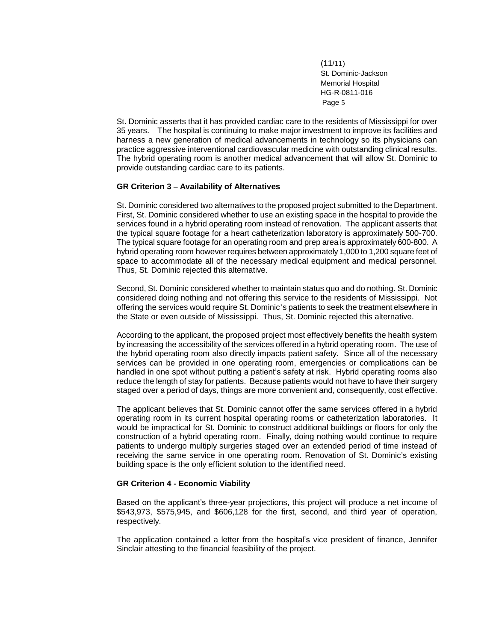St. Dominic asserts that it has provided cardiac care to the residents of Mississippi for over 35 years. The hospital is continuing to make major investment to improve its facilities and harness a new generation of medical advancements in technology so its physicians can practice aggressive interventional cardiovascular medicine with outstanding clinical results. The hybrid operating room is another medical advancement that will allow St. Dominic to provide outstanding cardiac care to its patients.

#### **GR Criterion 3 – Availability of Alternatives**

St. Dominic considered two alternatives to the proposed project submitted to the Department. First, St. Dominic considered whether to use an existing space in the hospital to provide the services found in a hybrid operating room instead of renovation. The applicant asserts that the typical square footage for a heart catheterization laboratory is approximately 500-700. The typical square footage for an operating room and prep area is approximately 600-800. A hybrid operating room however requires between approximately 1,000 to 1,200 square feet of space to accommodate all of the necessary medical equipment and medical personnel. Thus, St. Dominic rejected this alternative.

Second, St. Dominic considered whether to maintain status quo and do nothing. St. Dominic considered doing nothing and not offering this service to the residents of Mississippi. Not offering the services would require St. Dominic's patients to seek the treatment elsewhere in the State or even outside of Mississippi. Thus, St. Dominic rejected this alternative.

According to the applicant, the proposed project most effectively benefits the health system by increasing the accessibility of the services offered in a hybrid operating room. The use of the hybrid operating room also directly impacts patient safety. Since all of the necessary services can be provided in one operating room, emergencies or complications can be handled in one spot without putting a patient's safety at risk. Hybrid operating rooms also reduce the length of stay for patients. Because patients would not have to have their surgery staged over a period of days, things are more convenient and, consequently, cost effective.

The applicant believes that St. Dominic cannot offer the same services offered in a hybrid operating room in its current hospital operating rooms or catheterization laboratories. It would be impractical for St. Dominic to construct additional buildings or floors for only the construction of a hybrid operating room. Finally, doing nothing would continue to require patients to undergo multiply surgeries staged over an extended period of time instead of receiving the same service in one operating room. Renovation of St. Dominic's existing building space is the only efficient solution to the identified need.

#### **GR Criterion 4 - Economic Viability**

Based on the applicant's three-year projections, this project will produce a net income of \$543,973, \$575,945, and \$606,128 for the first, second, and third year of operation, respectively.

The application contained a letter from the hospital's vice president of finance, Jennifer Sinclair attesting to the financial feasibility of the project.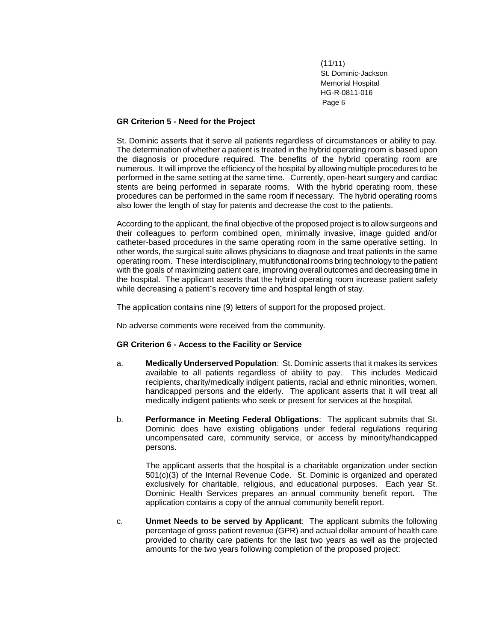#### **GR Criterion 5 - Need for the Project**

St. Dominic asserts that it serve all patients regardless of circumstances or ability to pay. The determination of whether a patient is treated in the hybrid operating room is based upon the diagnosis or procedure required. The benefits of the hybrid operating room are numerous. It will improve the efficiency of the hospital by allowing multiple procedures to be performed in the same setting at the same time. Currently, open-heart surgery and cardiac stents are being performed in separate rooms. With the hybrid operating room, these procedures can be performed in the same room if necessary. The hybrid operating rooms also lower the length of stay for patents and decrease the cost to the patients.

According to the applicant, the final objective of the proposed project is to allow surgeons and their colleagues to perform combined open, minimally invasive, image guided and/or catheter-based procedures in the same operating room in the same operative setting. In other words, the surgical suite allows physicians to diagnose and treat patients in the same operating room. These interdisciplinary, multifunctional rooms bring technology to the patient with the goals of maximizing patient care, improving overall outcomes and decreasing time in the hospital. The applicant asserts that the hybrid operating room increase patient safety while decreasing a patient's recovery time and hospital length of stay.

The application contains nine (9) letters of support for the proposed project.

No adverse comments were received from the community.

#### **GR Criterion 6 - Access to the Facility or Service**

- a. **Medically Underserved Population**: St. Dominic asserts that it makes its services available to all patients regardless of ability to pay. This includes Medicaid recipients, charity/medically indigent patients, racial and ethnic minorities, women, handicapped persons and the elderly. The applicant asserts that it will treat all medically indigent patients who seek or present for services at the hospital.
- b. **Performance in Meeting Federal Obligations**: The applicant submits that St. Dominic does have existing obligations under federal regulations requiring uncompensated care, community service, or access by minority/handicapped persons.

The applicant asserts that the hospital is a charitable organization under section 501(c)(3) of the Internal Revenue Code. St. Dominic is organized and operated exclusively for charitable, religious, and educational purposes. Each year St. Dominic Health Services prepares an annual community benefit report. The application contains a copy of the annual community benefit report.

c. **Unmet Needs to be served by Applicant**: The applicant submits the following percentage of gross patient revenue (GPR) and actual dollar amount of health care provided to charity care patients for the last two years as well as the projected amounts for the two years following completion of the proposed project: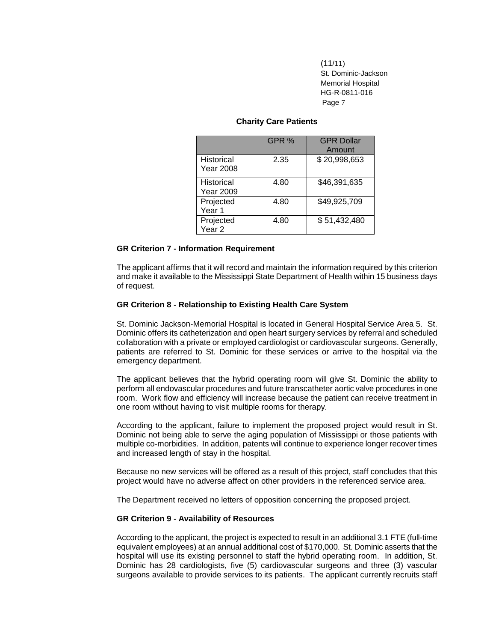#### **Charity Care Patients**

|                                       | GPR % | <b>GPR Dollar</b><br>Amount |
|---------------------------------------|-------|-----------------------------|
| Historical<br><b>Year 2008</b>        | 2.35  | \$20,998,653                |
| <b>Historical</b><br><b>Year 2009</b> | 4.80  | \$46,391,635                |
| Projected<br>Year 1                   | 4.80  | \$49,925,709                |
| Projected<br>Year <sub>2</sub>        | 4.80  | \$51,432,480                |

#### **GR Criterion 7 - Information Requirement**

The applicant affirms that it will record and maintain the information required by this criterion and make it available to the Mississippi State Department of Health within 15 business days of request.

### **GR Criterion 8 - Relationship to Existing Health Care System**

St. Dominic Jackson-Memorial Hospital is located in General Hospital Service Area 5. St. Dominic offers its catheterization and open heart surgery services by referral and scheduled collaboration with a private or employed cardiologist or cardiovascular surgeons. Generally, patients are referred to St. Dominic for these services or arrive to the hospital via the emergency department.

The applicant believes that the hybrid operating room will give St. Dominic the ability to perform all endovascular procedures and future transcatheter aortic valve procedures in one room. Work flow and efficiency will increase because the patient can receive treatment in one room without having to visit multiple rooms for therapy.

According to the applicant, failure to implement the proposed project would result in St. Dominic not being able to serve the aging population of Mississippi or those patients with multiple co-morbidities. In addition, patents will continue to experience longer recover times and increased length of stay in the hospital.

Because no new services will be offered as a result of this project, staff concludes that this project would have no adverse affect on other providers in the referenced service area.

The Department received no letters of opposition concerning the proposed project.

#### **GR Criterion 9 - Availability of Resources**

According to the applicant, the project is expected to result in an additional 3.1 FTE (full-time equivalent employees) at an annual additional cost of \$170,000. St. Dominic asserts that the hospital will use its existing personnel to staff the hybrid operating room. In addition, St. Dominic has 28 cardiologists, five (5) cardiovascular surgeons and three (3) vascular surgeons available to provide services to its patients. The applicant currently recruits staff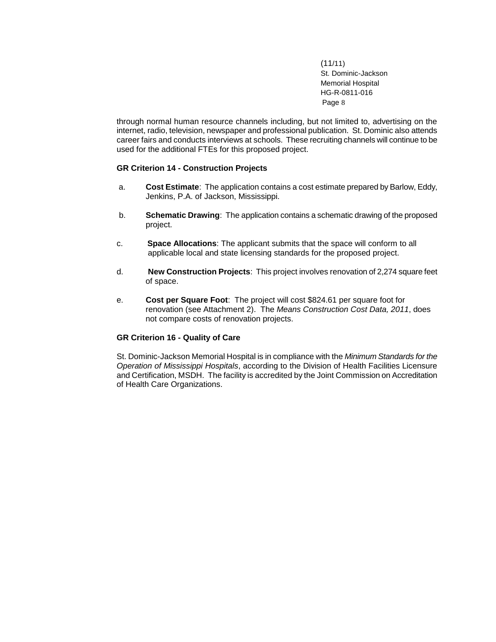through normal human resource channels including, but not limited to, advertising on the internet, radio, television, newspaper and professional publication. St. Dominic also attends career fairs and conducts interviews at schools. These recruiting channels will continue to be used for the additional FTEs for this proposed project.

#### **GR Criterion 14 - Construction Projects**

- a. **Cost Estimate**: The application contains a cost estimate prepared by Barlow, Eddy, Jenkins, P.A. of Jackson, Mississippi.
- b. **Schematic Drawing**: The application contains a schematic drawing of the proposed project.
- c. **Space Allocations**: The applicant submits that the space will conform to all applicable local and state licensing standards for the proposed project.
- d. **New Construction Projects**: This project involves renovation of 2,274 square feet of space.
- e. **Cost per Square Foot**: The project will cost \$824.61 per square foot for renovation (see Attachment 2). The *Means Construction Cost Data, 2011*, does not compare costs of renovation projects.

#### **GR Criterion 16 - Quality of Care**

St. Dominic-Jackson Memorial Hospital is in compliance with the *Minimum Standards for the Operation of Mississippi Hospitals*, according to the Division of Health Facilities Licensure and Certification, MSDH. The facility is accredited by the Joint Commission on Accreditation of Health Care Organizations.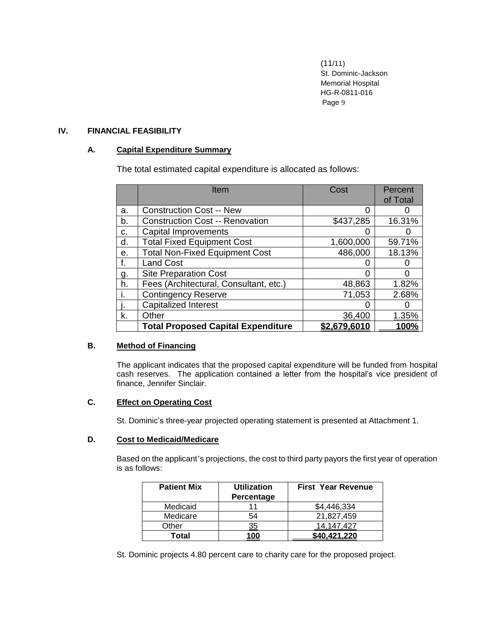### **IV. FINANCIAL FEASIBILITY**

### **A. Capital Expenditure Summary**

The total estimated capital expenditure is allocated as follows:

|    | Item                                      | Cost         | Percent<br>of Total |
|----|-------------------------------------------|--------------|---------------------|
| a. | <b>Construction Cost -- New</b>           | 0            |                     |
| b. | <b>Construction Cost -- Renovation</b>    | \$437,285    | 16.31%              |
| с. | <b>Capital Improvements</b>               |              |                     |
| d. | <b>Total Fixed Equipment Cost</b>         | 1,600,000    | 59.71%              |
| е. | <b>Total Non-Fixed Equipment Cost</b>     | 486,000      | 18.13%              |
| f. | <b>Land Cost</b>                          |              |                     |
| g. | <b>Site Preparation Cost</b>              |              |                     |
| h. | Fees (Architectural, Consultant, etc.)    | 48,863       | 1.82%               |
| i. | <b>Contingency Reserve</b>                | 71,053       | 2.68%               |
|    | <b>Capitalized Interest</b>               |              |                     |
| k. | Other                                     | 36,400       | 1.35%               |
|    | <b>Total Proposed Capital Expenditure</b> | \$2.679.6010 | 100%                |

## **B. Method of Financing**

The applicant indicates that the proposed capital expenditure will be funded from hospital cash reserves. The application contained a letter from the hospital's vice president of finance, Jennifer Sinclair.

## **C. Effect on Operating Cost**

St. Dominic's three-year projected operating statement is presented at Attachment 1.

### **D. Cost to Medicaid/Medicare**

Based on the applicant's projections, the cost to third party payors the first year of operation is as follows:

| <b>Patient Mix</b> | <b>Utilization</b><br>Percentage | <b>First Year Revenue</b> |
|--------------------|----------------------------------|---------------------------|
| Medicaid           |                                  | \$4.446.334               |
| Medicare           | 54                               | 21.827.459                |
| Other              | <u>35</u>                        | .427<br>14.147            |
| Total              | 100                              | \$40.421.220              |

St. Dominic projects 4.80 percent care to charity care for the proposed project.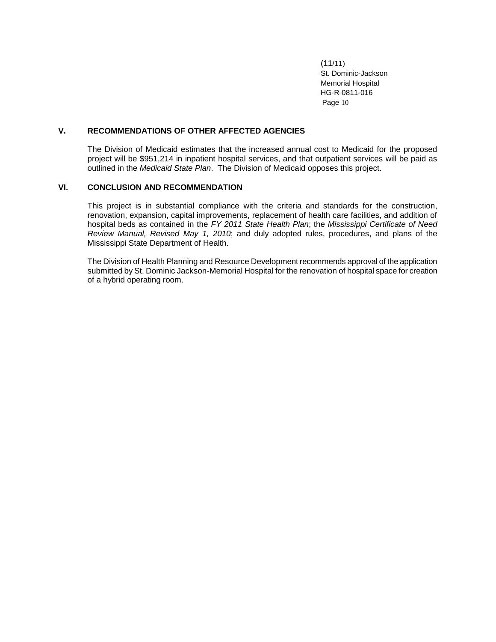### **V. RECOMMENDATIONS OF OTHER AFFECTED AGENCIES**

The Division of Medicaid estimates that the increased annual cost to Medicaid for the proposed project will be \$951,214 in inpatient hospital services, and that outpatient services will be paid as outlined in the *Medicaid State Plan*. The Division of Medicaid opposes this project.

## **VI. CONCLUSION AND RECOMMENDATION**

This project is in substantial compliance with the criteria and standards for the construction, renovation, expansion, capital improvements, replacement of health care facilities, and addition of hospital beds as contained in the *FY 2011 State Health Plan*; the *Mississippi Certificate of Need Review Manual, Revised May 1, 2010*; and duly adopted rules, procedures, and plans of the Mississippi State Department of Health.

The Division of Health Planning and Resource Development recommends approval of the application submitted by St. Dominic Jackson-Memorial Hospital for the renovation of hospital space for creation of a hybrid operating room.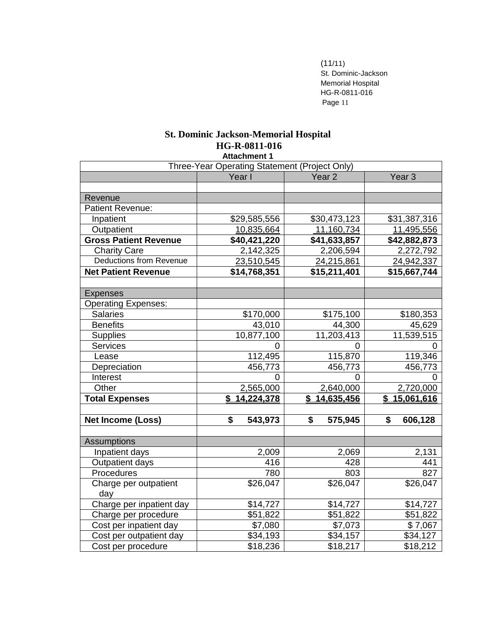## **St. Dominic Jackson-Memorial Hospital HG-R-0811-016 Attachment 1**

| Three-Year Operating Statement (Project Only) |                  |                   |                   |
|-----------------------------------------------|------------------|-------------------|-------------------|
|                                               | Year I           | Year <sub>2</sub> | Year <sub>3</sub> |
|                                               |                  |                   |                   |
| Revenue                                       |                  |                   |                   |
| <b>Patient Revenue:</b>                       |                  |                   |                   |
| Inpatient                                     | \$29,585,556     | \$30,473,123      | \$31,387,316      |
| Outpatient                                    | 10,835,664       | 11,160,734        | 11,495,556        |
| <b>Gross Patient Revenue</b>                  | \$40,421,220     | \$41,633,857      | \$42,882,873      |
| <b>Charity Care</b>                           | 2,142,325        | 2,206,594         | 2,272,792         |
| <b>Deductions from Revenue</b>                | 23,510,545       | 24,215,861        | 24,942,337        |
| <b>Net Patient Revenue</b>                    | \$14,768,351     | \$15,211,401      | \$15,667,744      |
|                                               |                  |                   |                   |
| <b>Expenses</b>                               |                  |                   |                   |
| <b>Operating Expenses:</b>                    |                  |                   |                   |
| <b>Salaries</b>                               | \$170,000        | \$175,100         | \$180,353         |
| <b>Benefits</b>                               | 43,010           | 44,300            | 45,629            |
| <b>Supplies</b>                               | 10,877,100       | 11,203,413        | 11,539,515        |
| Services                                      | $\overline{0}$   | 0                 | 0                 |
| Lease                                         | 112,495          | 115,870           | 119,346           |
| Depreciation                                  | 456,773          | 456,773           | 456,773           |
| Interest                                      | $\overline{0}$   | 0                 | 0                 |
| Other                                         | 2,565,000        | 2,640,000         | 2,720,000         |
| <b>Total Expenses</b>                         | \$<br>14,224,378 | \$<br>14,635,456  | \$<br>15,061,616  |
|                                               |                  |                   |                   |
| <b>Net Income (Loss)</b>                      | \$<br>543,973    | \$<br>575,945     | \$<br>606,128     |
|                                               |                  |                   |                   |
| <b>Assumptions</b>                            |                  |                   |                   |
| Inpatient days                                | 2,009            | 2,069             | 2,131             |
| Outpatient days                               | 416              | 428               | 441               |
| Procedures                                    | 780              | 803               | 827               |
| Charge per outpatient                         | \$26,047         | \$26,047          | \$26,047          |
| day                                           |                  |                   |                   |
| Charge per inpatient day                      | \$14,727         | \$14,727          | \$14,727          |
| Charge per procedure                          | \$51,822         | \$51,822          | \$51,822          |
| Cost per inpatient day                        | \$7,080          | \$7,073           | \$7,067           |
| Cost per outpatient day                       | \$34,193         | \$34,157          | \$34,127          |
| Cost per procedure                            | \$18,236         | \$18,217          | \$18,212          |